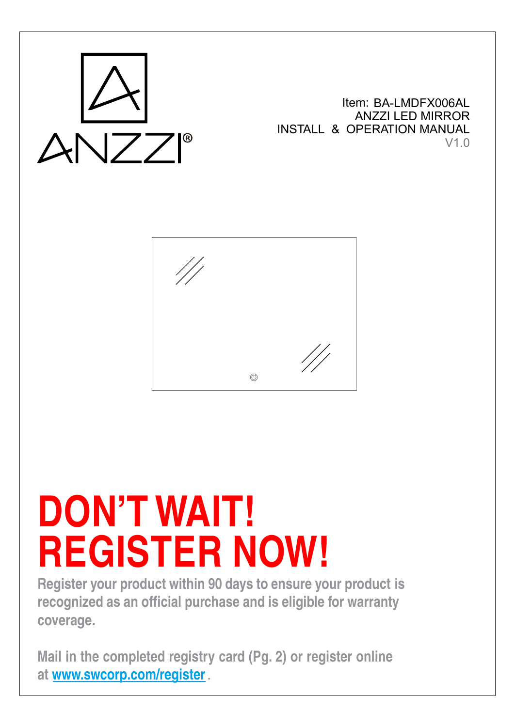

Item: BA-LMDFX006AL ANZZI LED MIRROR INSTALL & OPERATION MANUAL V1.0



# **DON'T WAIT! REGISTER NOW!**

**Register your product within 90 days to ensure your product is recognized as an official purchase and is eligible for warranty coverage.**

**Mail in the completed registry card (Pg. 2) or register online at www.swcorp.com/register**.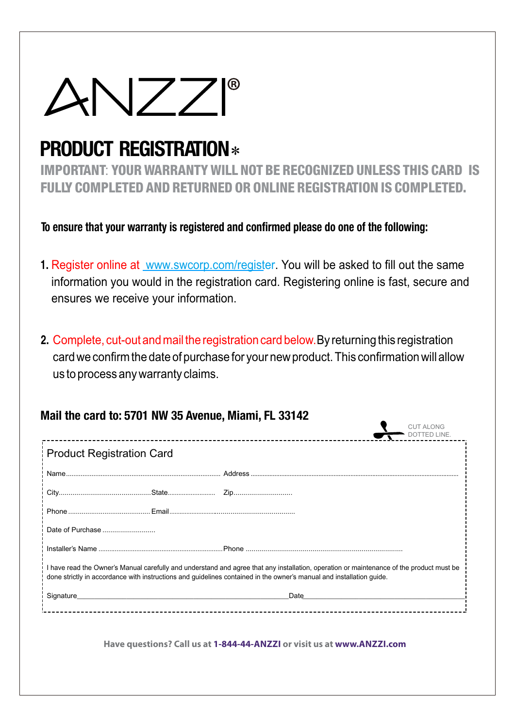

## PRODUCT REGISTRATION \*

IMPORTANT: YOUR WARRANTY WILL NOT BE RECOGNIZED UNLESS THIS CARD IS FULLY COMPLETED AND RETURNED OR ONLINE REGISTRATION IS COMPLETED.

To ensure that your warranty is registered and confirmed please do one of the following:

- **1.** Register online at www.swcorp.com/register. You will be asked to fill out the same information you would in the registration card. Registering online is fast, secure and ensures we receive your information.
- **2.** Complete, cut-out and mail the registration card below.By returning this registration card we confirm the date of purchase for your new product. This confirmation will allow us to process any warranty claims.

| <b>Product Registration Card</b> |                                                                                                                                          |  |
|----------------------------------|------------------------------------------------------------------------------------------------------------------------------------------|--|
|                                  |                                                                                                                                          |  |
|                                  |                                                                                                                                          |  |
|                                  |                                                                                                                                          |  |
| Date of Purchase                 |                                                                                                                                          |  |
|                                  |                                                                                                                                          |  |
|                                  | I have read the Owner's Manual carefully and understand and agree that any installation, operation or maintenance of the product must be |  |
|                                  | done strictly in accordance with instructions and guidelines contained in the owner's manual and installation guide.                     |  |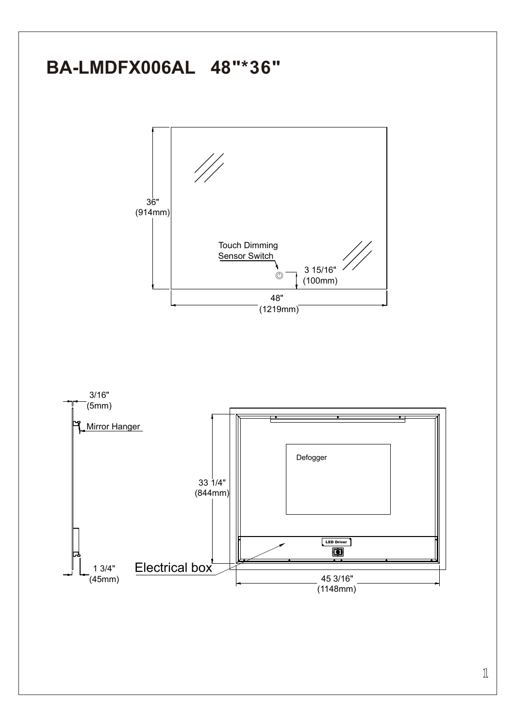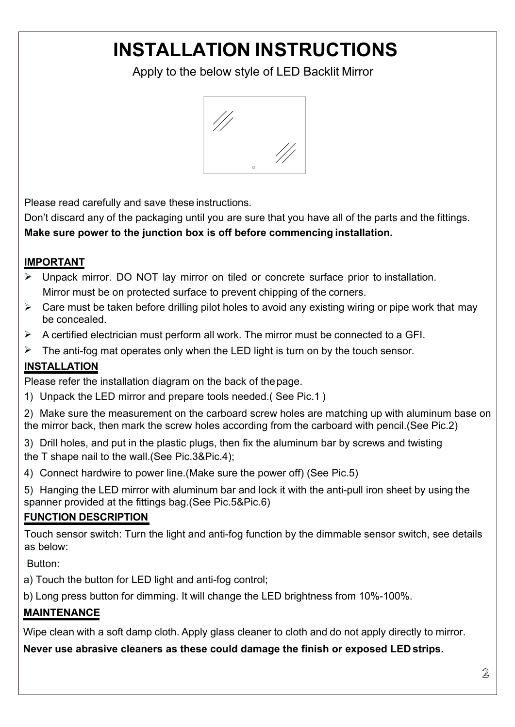# **INSTALLATION INSTRUCTIONS**<br>Apply to the below style of LED Backlit Mirror<br>
Apply to the below style of LED Backlit Mirror STALLATION INSTRUCTIONS<br>Apply to the below style of LED Backlit Mirror



FINST ALLATIUN INSTRUCTIUNS<br>Apply to the below style of LED Backlit Mirror<br>Apply to the below style of LED Backlit Mirror<br>Apply to the below style of LED Backlit Mirror<br>Apply to the below style of LED Backlit Mirror<br>Apply Apply to the below style of LED Backlit Mirror<br>
Wedness and the parts and carefully and save these instructions.<br>
Don't discard any of the packaging until you are sure that you have all of the parts and the fittings.<br>
Make Make sure power to the junction box is off before commencing installation.<br>
Make sure power to the junction box is off before commencing installation.<br>
MINENTANT<br>
→ Unpack mirror. DO NOT lay mirror on tiled or concrete su Please read carefully and save these instructions.<br>
Don't discard any of the packaging until you are sure that you have all of the parts and the fittings.<br>
Make sure power to the junction box is off before commencing inst Mirror must be packaging until you are sure that you have all of the parts and the fittings.<br>The same power to the junction box is off before commencing installation.<br>
The protected surface to prevent chipping of the corne Please read carefully and save these instructions.<br>
Don't discard any of the packaging until you are sure that you have all of the parts and the fittings.<br>
Make sure power to the junction box is off before commencing inst Please read carefully and save these instructions.<br>
Don't discard any of the packaging until you are sure that you have all of the parts and the fittings.<br> **Make sure power to the junction box is off before commencing ins** Please read carefully and save these instructions.<br>
Don't discard any of the packaging until you are sure that you have all of the parts and the fittings.<br> **Make sure power to the junction box is off before commencing ins** 

### **IMPORTANT**

- Solution and save these instructions.<br>
The discard any of the packaging until you are sure<br>
the sure power to the junction box is off before<br>
CRTANT<br>
Unpack mirror. DO NOT lay mirror on tiled or<br>
Mirror must be on protecte
- Make sure power to the junction box is off before commencing installation.<br>
IMPORTANT<br>  $\triangleright$  Unpack mirror. DO NOT lay mirror on tiled or concrete surface prior to installation.<br>
Mirror must be on protected surface to pr
- 
- 

### **INSTALLATION**

1) Unpack the LED mirror and prepare tools needed.( See Pic.1 )

2) Make sure the measurement on the carboard screw holes are matching up with aluminum base on the mirror back, then mark the screw holes according from the carboard with pencil.(See Pic.2)

- 3) Drill holes, and put in the plastic plugs, then fix the aluminum bar by screws and twisting the T shape nail to the wall.(See Pic.3&Pic.4);
- 4) Connect hardwire to power line.(Make sure the power off) (See Pic.5)
- 5) Hanging the LED mirror with aluminum bar and lock it with the anti-pull iron sheet by using the spanner provided at the fittings bag.(See Pic.5&Pic.6)

### **FUNCTION DESCRIPTION**

Touch sensor switch: Turn the light and anti-fog function by the dimmable sensor switch, see details as below:

Button:

a) Touch the button for LED light and anti-fog control;

b) Long press button for dimming. It will change the LED brightness from 10%-100%.

### **MAINTENANCE**

Wipe clean with a soft damp cloth. Apply glass cleaner to cloth and do not apply directly to mirror.

**Never use abrasive cleaners as these could damage the finish or exposed LED strips.**